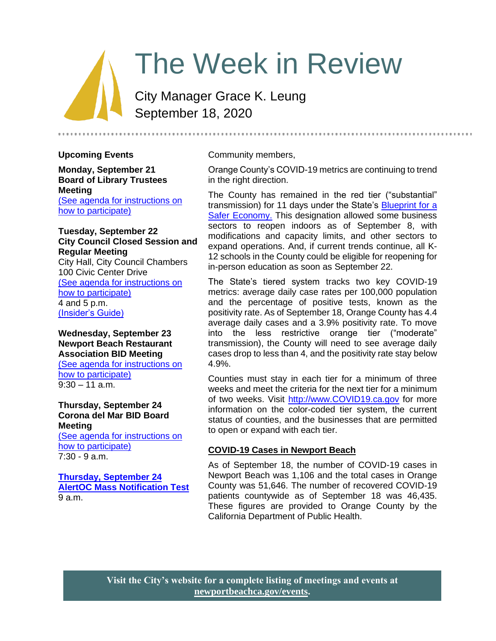# The Week in Review

City Manager Grace K. Leung September 18, 2020

#### **Upcoming Events**

**Monday, September 21 Board of Library Trustees Meeting** [\(See agenda for instructions on](https://www.newportbeachca.gov/Home/Components/Calendar/Event/63660/72)  [how to participate\)](https://www.newportbeachca.gov/Home/Components/Calendar/Event/63660/72)

## **Tuesday, September 22 City Council Closed Session and Regular Meeting** City Hall, City Council Chambers

100 Civic Center Drive [\(See agenda for instructions on](https://www.newportbeachca.gov/Home/Components/Calendar/Event/54191/72)  [how to participate\)](https://www.newportbeachca.gov/Home/Components/Calendar/Event/54191/72) 4 and 5 p.m. [\(Insider's Guide\)](#page-1-0)

#### **Wednesday, September 23 Newport Beach Restaurant Association BID Meeting**

[\(See agenda for instructions on](https://www.newportbeachca.gov/Home/Components/Calendar/Event/64248/72)  [how to participate\)](https://www.newportbeachca.gov/Home/Components/Calendar/Event/64248/72)  $9:30 - 11$  a.m.

## **Thursday, September 24 Corona del Mar BID Board Meeting**

[\(See agenda for instructions on](https://www.newportbeachca.gov/Home/Components/Calendar/Event/64250/72)  [how to participate\)](https://www.newportbeachca.gov/Home/Components/Calendar/Event/64250/72) 7:30 - 9 a.m.

## **[Thursday, September 24](https://www.newportbeachca.gov/Home/Components/Calendar/Event/64243/72) [AlertOC Mass Notification Test](https://www.newportbeachca.gov/Home/Components/Calendar/Event/64243/72)** 9 a.m.

#### Community members,

Orange County's COVID-19 metrics are continuing to trend in the right direction.

The County has remained in the red tier ("substantial" transmission) for 11 days under the State's [Blueprint for a](https://covid19.ca.gov/safer-economy/)  Safer [Economy.](https://covid19.ca.gov/safer-economy/) This designation allowed some business sectors to reopen indoors as of September 8, with modifications and capacity limits, and other sectors to expand operations. And, if current trends continue, all K-12 schools in the County could be eligible for reopening for in-person education as soon as September 22.

The State's tiered system tracks two key COVID-19 metrics: average daily case rates per 100,000 population and the percentage of positive tests, known as the positivity rate. As of September 18, Orange County has 4.4 average daily cases and a 3.9% positivity rate. To move into the less restrictive orange tier ("moderate" transmission), the County will need to see average daily cases drop to less than 4, and the positivity rate stay below 4.9%.

Counties must stay in each tier for a minimum of three weeks and meet the criteria for the next tier for a minimum of two weeks. Visit [http://www.COVID19.ca.gov](http://www.covid19.ca.gov/) for more information on the color-coded tier system, the current status of counties, and the businesses that are permitted to open or expand with each tier.

## **COVID-19 Cases in Newport Beach**

As of September 18, the number of COVID-19 cases in Newport Beach was 1,106 and the total cases in Orange County was 51,646. The number of recovered COVID-19 patients countywide as of September 18 was 46,435. These figures are provided to Orange County by the California Department of Public Health.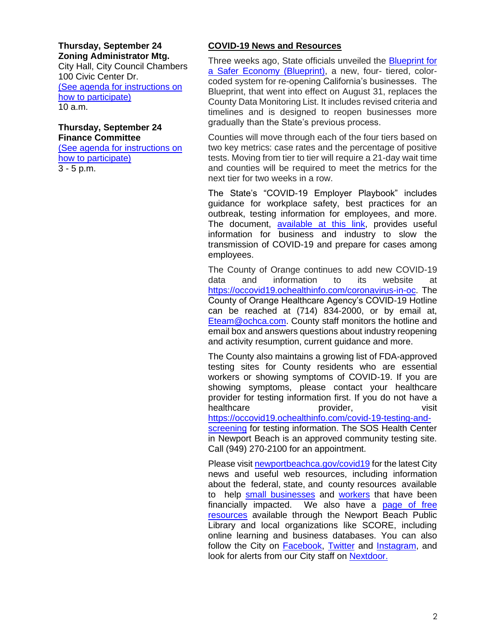#### **Thursday, September 24 Zoning Administrator Mtg.**

City Hall, City Council Chambers 100 Civic Center Dr. [\(See agenda for instructions on](https://www.newportbeachca.gov/government/departments/community-development/planning-division/zoning-administrator)  [how to participate\)](https://www.newportbeachca.gov/government/departments/community-development/planning-division/zoning-administrator) 10 a.m.

#### **Thursday, September 24 Finance Committee**

[\(See agenda for instructions on](https://www.newportbeachca.gov/Home/Components/Calendar/Event/64115/72)  [how to participate\)](https://www.newportbeachca.gov/Home/Components/Calendar/Event/64115/72) 3 - 5 p.m.

# **COVID-19 News and Resources**

Three weeks ago, State officials unveiled the Blueprint for [a Safer Economy \(Blueprint\),](https://covid19.ca.gov/safer-economy/) a new, four- tiered, colorcoded system for re-opening California's businesses. The Blueprint, that went into effect on August 31, replaces the County Data Monitoring List. It includes revised criteria and timelines and is designed to reopen businesses more gradually than the State's previous process.

Counties will move through each of the four tiers based on two key metrics: case rates and the percentage of positive tests. Moving from tier to tier will require a 21-day wait time and counties will be required to meet the metrics for the next tier for two weeks in a row.

The State's "COVID-19 Employer Playbook" includes guidance for workplace safety, best practices for an outbreak, testing information for employees, and more. The document, [available at this link,](https://files.covid19.ca.gov/pdf/employer-playbook-for-safe-reopening--en.pdf) provides useful information for business and industry to slow the transmission of COVID-19 and prepare for cases among employees.

The County of Orange continues to add new COVID-19 data and information to its website at [https://occovid19.ochealthinfo.com/coronavirus-in-oc.](https://occovid19.ochealthinfo.com/coronavirus-in-oc) The County of Orange Healthcare Agency's COVID-19 Hotline can be reached at (714) 834-2000, or by email at, [Eteam@ochca.com.](mailto:Eteam@ochca.com) County staff monitors the hotline and email box and answers questions about industry reopening and activity resumption, current guidance and more.

The County also maintains a growing list of FDA-approved testing sites for County residents who are essential workers or showing symptoms of COVID-19. If you are showing symptoms, please contact your healthcare provider for testing information first. If you do not have a healthcare **provider**, provider, the visit [https://occovid19.ochealthinfo.com/covid-19-testing-and](https://occovid19.ochealthinfo.com/covid-19-testing-and-screening)[screening](https://occovid19.ochealthinfo.com/covid-19-testing-and-screening) for testing information. The SOS Health Center

in Newport Beach is an approved community testing site. Call (949) 270-2100 for an appointment.

<span id="page-1-0"></span>Please visit [newportbeachca.gov/covid19](https://www.newportbeachca.gov/how-do-i/find/disaster-preparedness-information/disease-outbreak/-fsiteid-1) for the latest City news and useful web resources, including information about the federal, state, and county resources available to help [small businesses](https://www.newportbeachca.gov/government/departments/city-manager/economic-development/small-business-support) and [workers](https://www.newportbeachca.gov/government/departments/city-manager/economic-development/support-for-employees) that have been financially impacted. We also have a [page of free](https://www.newportbeachca.gov/government/departments/city-manager/economic-development/small-business-support/business-employee-resources)  [resources](https://www.newportbeachca.gov/government/departments/city-manager/economic-development/small-business-support/business-employee-resources) available through the Newport Beach Public Library and local organizations like SCORE, including online learning and business databases. You can also follow the City on **Facebook**, [Twitter](https://twitter.com/newportbeachgov) and [Instagram,](https://www.instagram.com/cityofnewportbeach/) and look for alerts from our City staff on [Nextdoor.](https://nextdoor.com/agency/city-of-newport-beach/?i=ltdytbjdbdkntfqttgcm)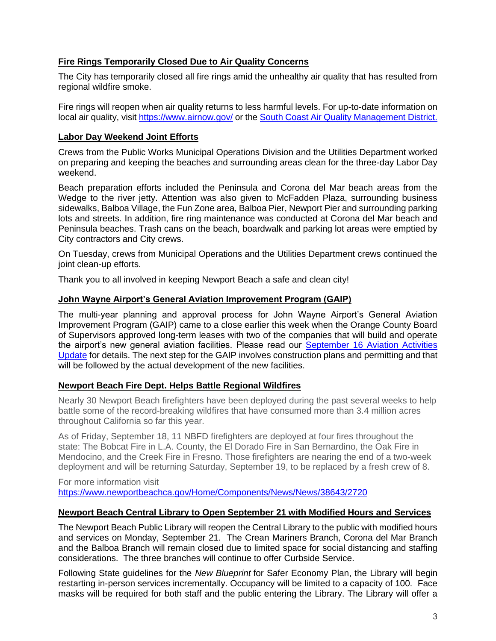# **Fire Rings Temporarily Closed Due to Air Quality Concerns**

The City has temporarily closed all fire rings amid the unhealthy air quality that has resulted from regional wildfire smoke.

Fire rings will reopen when air quality returns to less harmful levels. For up-to-date information on local air quality, visit<https://www.airnow.gov/> or th[e South Coast Air Quality Management District.](http://www.aqmd.gov/home/air-quality/current-air-quality-data)

## **Labor Day Weekend Joint Efforts**

Crews from the Public Works Municipal Operations Division and the Utilities Department worked on preparing and keeping the beaches and surrounding areas clean for the three-day Labor Day weekend.

Beach preparation efforts included the Peninsula and Corona del Mar beach areas from the Wedge to the river jetty. Attention was also given to McFadden Plaza, surrounding business sidewalks, Balboa Village, the Fun Zone area, Balboa Pier, Newport Pier and surrounding parking lots and streets. In addition, fire ring maintenance was conducted at Corona del Mar beach and Peninsula beaches. Trash cans on the beach, boardwalk and parking lot areas were emptied by City contractors and City crews.

On Tuesday, crews from Municipal Operations and the Utilities Department crews continued the joint clean-up efforts.

Thank you to all involved in keeping Newport Beach a safe and clean city!

#### **John Wayne Airport's General Aviation Improvement Program (GAIP)**

The multi-year planning and approval process for John Wayne Airport's General Aviation Improvement Program (GAIP) came to a close earlier this week when the Orange County Board of Supervisors approved long-term leases with two of the companies that will build and operate the airport's new general aviation facilities. Please read our [September 16 Aviation Activities](https://www.newportbeachca.gov/home/showdocument?id=67740)  [Update](https://www.newportbeachca.gov/home/showdocument?id=67740) for details. The next step for the GAIP involves construction plans and permitting and that will be followed by the actual development of the new facilities.

#### **Newport Beach Fire Dept. Helps Battle Regional Wildfires**

Nearly 30 Newport Beach firefighters have been deployed during the past several weeks to help battle some of the record-breaking wildfires that have consumed more than 3.4 million acres throughout California so far this year.

As of Friday, September 18, 11 NBFD firefighters are deployed at four fires throughout the state: The Bobcat Fire in L.A. County, the El Dorado Fire in San Bernardino, the Oak Fire in Mendocino, and the Creek Fire in Fresno. Those firefighters are nearing the end of a two-week deployment and will be returning Saturday, September 19, to be replaced by a fresh crew of 8.

For more information visit <https://www.newportbeachca.gov/Home/Components/News/News/38643/2720>

#### **Newport Beach Central Library to Open September 21 with Modified Hours and Services**

The Newport Beach Public Library will reopen the Central Library to the public with modified hours and services on Monday, September 21. The Crean Mariners Branch, Corona del Mar Branch and the Balboa Branch will remain closed due to limited space for social distancing and staffing considerations. The three branches will continue to offer Curbside Service.

Following State guidelines for the *New Blueprint* for Safer Economy Plan, the Library will begin restarting in-person services incrementally. Occupancy will be limited to a capacity of 100. Face masks will be required for both staff and the public entering the Library. The Library will offer a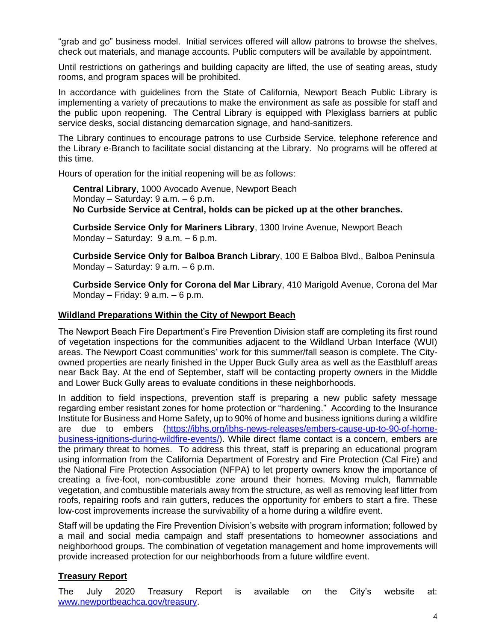"grab and go" business model. Initial services offered will allow patrons to browse the shelves, check out materials, and manage accounts. Public computers will be available by appointment.

Until restrictions on gatherings and building capacity are lifted, the use of seating areas, study rooms, and program spaces will be prohibited.

In accordance with guidelines from the State of California, Newport Beach Public Library is implementing a variety of precautions to make the environment as safe as possible for staff and the public upon reopening. The Central Library is equipped with Plexiglass barriers at public service desks, social distancing demarcation signage, and hand-sanitizers.

The Library continues to encourage patrons to use Curbside Service, telephone reference and the Library e-Branch to facilitate social distancing at the Library. No programs will be offered at this time.

Hours of operation for the initial reopening will be as follows:

**Central Library**, 1000 Avocado Avenue, Newport Beach Monday – Saturday: 9 a.m. – 6 p.m. **No Curbside Service at Central, holds can be picked up at the other branches.**

**Curbside Service Only for Mariners Library**, 1300 Irvine Avenue, Newport Beach Monday – Saturday: 9 a.m. – 6 p.m.

**Curbside Service Only for Balboa Branch Librar**y, 100 E Balboa Blvd., Balboa Peninsula Monday – Saturday: 9 a.m. – 6 p.m.

**Curbside Service Only for Corona del Mar Librar**y, 410 Marigold Avenue, Corona del Mar Monday – Friday:  $9$  a.m. –  $6$  p.m.

#### **Wildland Preparations Within the City of Newport Beach**

The Newport Beach Fire Department's Fire Prevention Division staff are completing its first round of vegetation inspections for the communities adjacent to the Wildland Urban Interface (WUI) areas. The Newport Coast communities' work for this summer/fall season is complete. The Cityowned properties are nearly finished in the Upper Buck Gully area as well as the Eastbluff areas near Back Bay. At the end of September, staff will be contacting property owners in the Middle and Lower Buck Gully areas to evaluate conditions in these neighborhoods.

In addition to field inspections, prevention staff is preparing a new public safety message regarding ember resistant zones for home protection or "hardening." According to the Insurance Institute for Business and Home Safety, up to 90% of home and business ignitions during a wildfire are due to embers [\(https://ibhs.org/ibhs-news-releases/embers-cause-up-to-90-of-home](https://ibhs.org/ibhs-news-releases/embers-cause-up-to-90-of-home-business-ignitions-during-wildfire-events/)[business-ignitions-during-wildfire-events/\)](https://ibhs.org/ibhs-news-releases/embers-cause-up-to-90-of-home-business-ignitions-during-wildfire-events/). While direct flame contact is a concern, embers are the primary threat to homes. To address this threat, staff is preparing an educational program using information from the California Department of Forestry and Fire Protection (Cal Fire) and the National Fire Protection Association (NFPA) to let property owners know the importance of creating a five-foot, non-combustible zone around their homes. Moving mulch, flammable vegetation, and combustible materials away from the structure, as well as removing leaf litter from roofs, repairing roofs and rain gutters, reduces the opportunity for embers to start a fire. These low-cost improvements increase the survivability of a home during a wildfire event.

Staff will be updating the Fire Prevention Division's website with program information; followed by a mail and social media campaign and staff presentations to homeowner associations and neighborhood groups. The combination of vegetation management and home improvements will provide increased protection for our neighborhoods from a future wildfire event.

# **Treasury Report**

The July 2020 Treasury Report is available on the City's website at: [www.newportbeachca.gov/treasury.](http://www.newportbeachca.gov/treasury)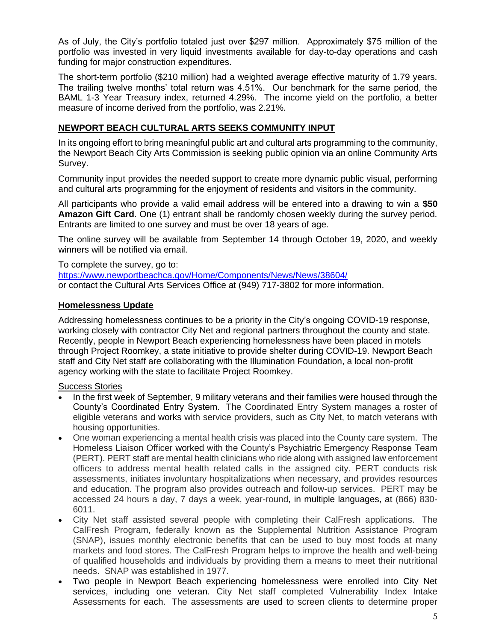As of July, the City's portfolio totaled just over \$297 million. Approximately \$75 million of the portfolio was invested in very liquid investments available for day-to-day operations and cash funding for major construction expenditures.

The short-term portfolio (\$210 million) had a weighted average effective maturity of 1.79 years. The trailing twelve months' total return was 4.51%. Our benchmark for the same period, the BAML 1-3 Year Treasury index, returned 4.29%. The income yield on the portfolio, a better measure of income derived from the portfolio, was 2.21%.

# **NEWPORT BEACH CULTURAL ARTS SEEKS COMMUNITY INPUT**

In its ongoing effort to bring meaningful public art and cultural arts programming to the community, the Newport Beach City Arts Commission is seeking public opinion via an online Community Arts Survey.

Community input provides the needed support to create more dynamic public visual, performing and cultural arts programming for the enjoyment of residents and visitors in the community.

All participants who provide a valid email address will be entered into a drawing to win a **\$50 Amazon Gift Card**. One (1) entrant shall be randomly chosen weekly during the survey period. Entrants are limited to one survey and must be over 18 years of age.

The online survey will be available from September 14 through October 19, 2020, and weekly winners will be notified via email.

To complete the survey, go to: <https://www.newportbeachca.gov/Home/Components/News/News/38604/> or contact the Cultural Arts Services Office at (949) 717-3802 for more information.

## **Homelessness Update**

Addressing homelessness continues to be a priority in the City's ongoing COVID-19 response, working closely with contractor City Net and regional partners throughout the county and state. Recently, people in Newport Beach experiencing homelessness have been placed in motels through Project Roomkey, a state initiative to provide shelter during COVID-19. Newport Beach staff and City Net staff are collaborating with the Illumination Foundation, a local non-profit agency working with the state to facilitate Project Roomkey.

## Success Stories

- In the first week of September, 9 military veterans and their families were housed through the County's Coordinated Entry System. The Coordinated Entry System manages a roster of eligible veterans and works with service providers, such as City Net, to match veterans with housing opportunities.
- One woman experiencing a mental health crisis was placed into the County care system. The Homeless Liaison Officer worked with the County's Psychiatric Emergency Response Team (PERT). PERT staff are mental health clinicians who ride along with assigned law enforcement officers to address mental health related calls in the assigned city. PERT conducts risk assessments, initiates involuntary hospitalizations when necessary, and provides resources and education. The program also provides outreach and follow-up services. PERT may be accessed 24 hours a day, 7 days a week, year-round, in multiple languages, at (866) 830- 6011.
- City Net staff assisted several people with completing their CalFresh applications. The CalFresh Program, federally known as the Supplemental Nutrition Assistance Program (SNAP), issues monthly electronic benefits that can be used to buy most foods at many markets and food stores. The CalFresh Program helps to improve the health and well-being of qualified households and individuals by providing them a means to meet their nutritional needs. SNAP was established in 1977.
- Two people in Newport Beach experiencing homelessness were enrolled into City Net services, including one veteran. City Net staff completed Vulnerability Index Intake Assessments for each. The assessments are used to screen clients to determine proper